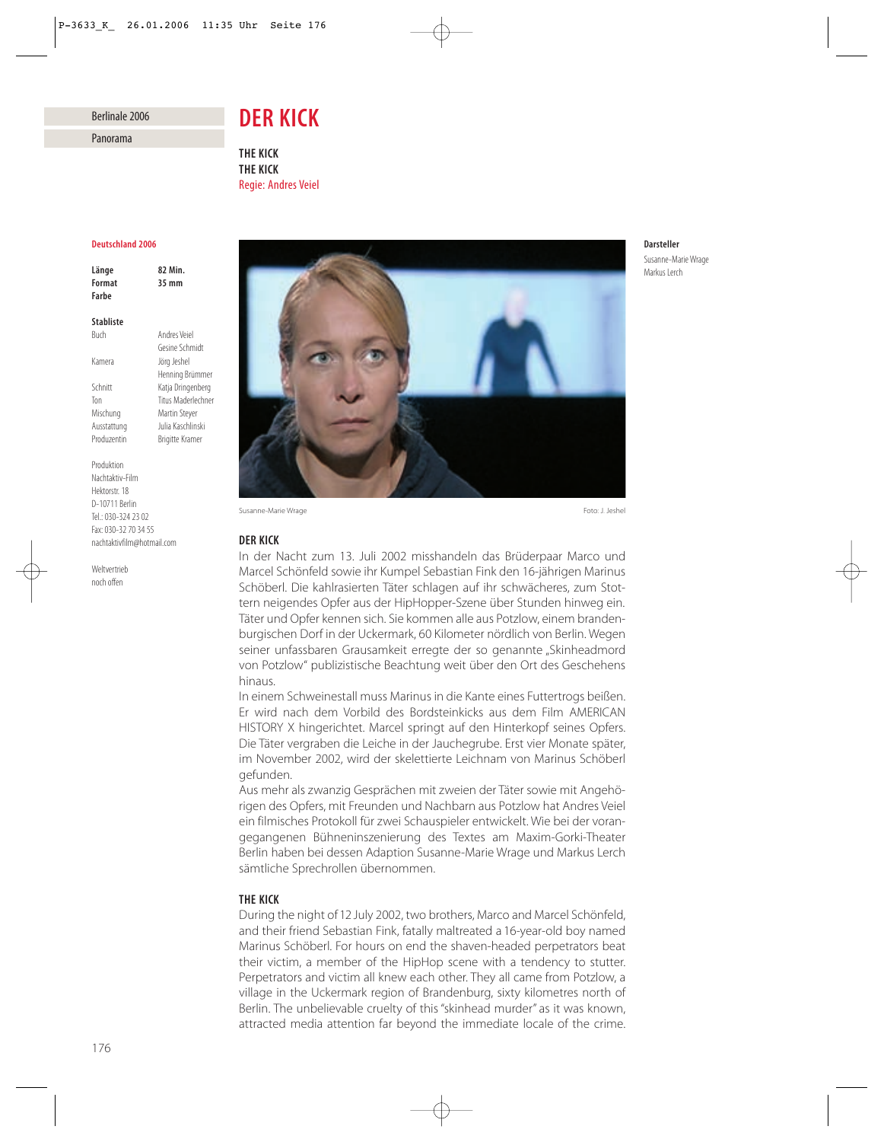# Berlinale 2006

Panorama

# *DER KICK*

*THE KICK THE KICK* Regie: Andres Veiel

## *Deutschland 2006*

*Länge 82 Min. Format 35 mm Farbe*

# *Stabliste*

Buch Andres Veiel Gesine Schmidt Kamera Jörg Jeshel Henning Brümmer Schnitt Katja Dringenberg Ton Titus Maderlechner Mischung Martin Steyer Ausstattung Julia Kaschlinski Produzentin Brigitte Kramer

Produktion Nachtaktiv-Film Hektorstr. 18 D-10711 Berlin Tel.: 030-324 23 02 Fax: 030-32 70 34 55 nachtaktivfilm@hotmail.com

Weltvertrieb noch offen



Susanne-Marie Wrage Foto: J. Jeshel

## *DER KICK*

In der Nacht zum 13. Juli 2002 misshandeln das Brüderpaar Marco und Marcel Schönfeld sowie ihr Kumpel Sebastian Fink den 16-jährigen Marinus Schöberl. Die kahlrasierten Täter schlagen auf ihr schwächeres, zum Stottern neigendes Opfer aus der HipHopper-Szene über Stunden hinweg ein. Täter und Opfer kennen sich. Sie kommen alle aus Potzlow, einem brandenburgischen Dorf in der Uckermark, 60 Kilometer nördlich von Berlin. Wegen seiner unfassbaren Grausamkeit erregte der so genannte "Skinheadmord von Potzlow" publizistische Beachtung weit über den Ort des Geschehens hinaus.

In einem Schweinestall muss Marinus in die Kante eines Futtertrogs beißen. Er wird nach dem Vorbild des Bordsteinkicks aus dem Film AMERICAN HISTORY X hingerichtet. Marcel springt auf den Hinterkopf seines Opfers. Die Täter vergraben die Leiche in der Jauchegrube. Erst vier Monate später, im November 2002, wird der skelettierte Leichnam von Marinus Schöberl gefunden.

Aus mehr als zwanzig Gesprächen mit zweien der Täter sowie mit Angehörigen des Opfers, mit Freunden und Nachbarn aus Potzlow hat Andres Veiel ein filmisches Protokoll für zwei Schauspieler entwickelt. Wie bei der vorangegangenen Bühneninszenierung des Textes am Maxim-Gorki-Theater Berlin haben bei dessen Adaption Susanne-Marie Wrage und Markus Lerch sämtliche Sprechrollen übernommen.

# *THE KICK*

During the night of 12 July 2002, two brothers, Marco and Marcel Schönfeld, and their friend Sebastian Fink, fatally maltreated a 16-year-old boy named Marinus Schöberl. For hours on end the shaven-headed perpetrators beat their victim, a member of the HipHop scene with a tendency to stutter. Perpetrators and victim all knew each other. They all came from Potzlow, a village in the Uckermark region of Brandenburg, sixty kilometres north of Berlin. The unbelievable cruelty of this "skinhead murder" as it was known, attracted media attention far beyond the immediate locale of the crime.

## *Darsteller* Susanne-Marie Wrage Markus Lerch